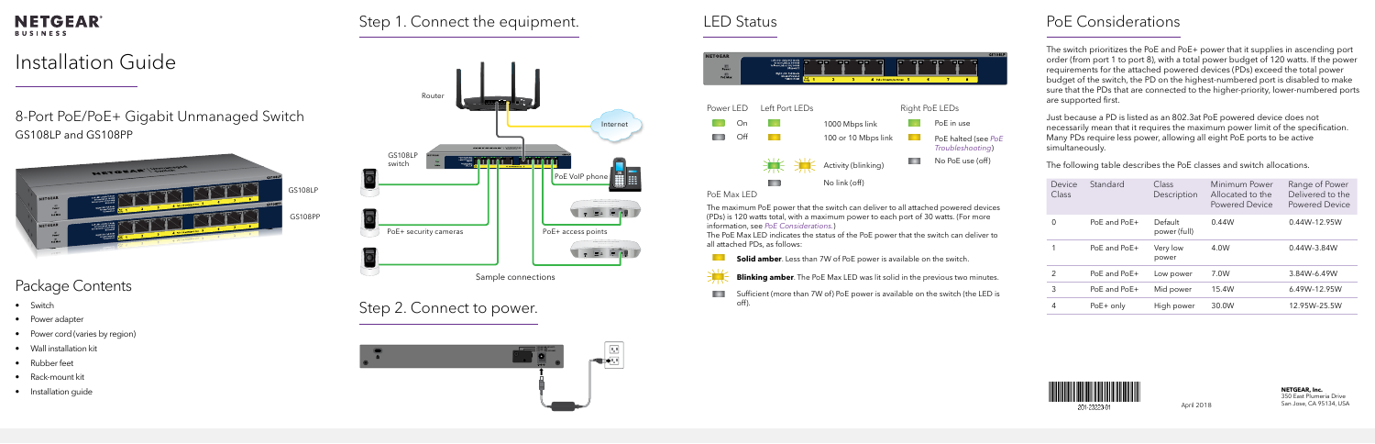

April 2018



201-23223-01

8-Port PoE/PoE+ Gigabit Unmanaged Switch GS108LP and GS108PP



# Package Contents

- Switch
- Power adapter
- Power cord (varies by region)
- Wall installation kit
- Rubber feet
- Rack-mount kit
- Installation guide

## **NETGEAR® BUSINESS**

## Step 1. Connect the equipment.



## Step 2. Connect to power.









<span id="page-0-0"></span>The switch prioritizes the PoE and PoE+ power that it supplies in ascending port order (from port 1 to port 8), with a total power budget of 120 watts. If the power requirements for the attached powered devices (PDs) exceed the total power budget of the switch, the PD on the highest-numbered port is disabled to make sure that the PDs that are connected to the higher-priority, lower-numbered ports are supported first.

Just because a PD is listed as an 802.3at PoE powered device does not necessarily mean that it requires the maximum power limit of the specification. Many PDs require less power, allowing all eight PoE ports to be active simultaneously.

The following table describes the PoE classes and switch allocations.

| Device<br>Class | Standard         | Class<br>Description    | Minimum Power<br>Allocated to the<br>Powered Device | Range of Power<br>Delivered to the<br><b>Powered Device</b> |
|-----------------|------------------|-------------------------|-----------------------------------------------------|-------------------------------------------------------------|
| 0               | $PoF$ and $PoF+$ | Default<br>power (full) | 0.44W                                               | 0.44W-12.95W                                                |
| 1               | PoE and PoE+     | Very low<br>power       | 4.0W                                                | 0.44W-3.84W                                                 |
| $\mathcal{P}$   | PoE and PoE+     | Low power               | 7.0W                                                | 3.84W-6.49W                                                 |
| 3               | PoE and PoE+     | Mid power               | 15.4W                                               | 6.49W-12.95W                                                |
| 4               | $PoE+$ only      | High power              | 30.0W                                               | 12.95W-25.5W                                                |





The maximum PoE power that the switch can deliver to all attached powered devices (PDs) is 120 watts total, with a maximum power to each port of 30 watts. (For more information, see *[PoE Considerations.](#page-0-0)*)

The PoE Max LED indicates the status of the PoE power that the switch can deliver to

**Solid amber**. Less than 7W of PoE power is available on the switch.

**Blinking amber**. The PoE Max LED was lit solid in the previous two minutes.

Sufficient (more than 7W of) PoE power is available on the switch (the LED is

## LED Status **PoE Considerations**

all attached PDs, as follows:

off).